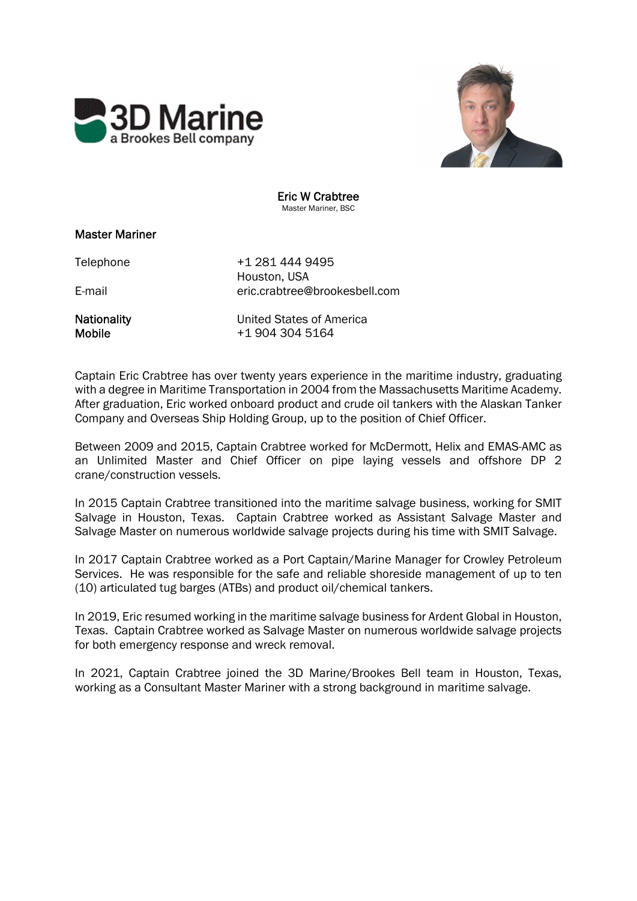



Eric W Crabtree Master Mariner, BSC

## Master Mariner

Telephone +1 281 444 9495 Houston, USA E-mail eric.crabtree@brookesbell.com

Nationality United States of America Mobile  $+19043045164$ 

Captain Eric Crabtree has over twenty years experience in the maritime industry, graduating with a degree in Maritime Transportation in 2004 from the Massachusetts Maritime Academy. After graduation, Eric worked onboard product and crude oil tankers with the Alaskan Tanker Company and Overseas Ship Holding Group, up to the position of Chief Officer.

Between 2009 and 2015, Captain Crabtree worked for McDermott, Helix and EMAS-AMC as an Unlimited Master and Chief Officer on pipe laying vessels and offshore DP 2 crane/construction vessels.

In 2015 Captain Crabtree transitioned into the maritime salvage business, working for SMIT Salvage in Houston, Texas. Captain Crabtree worked as Assistant Salvage Master and Salvage Master on numerous worldwide salvage projects during his time with SMIT Salvage.

In 2017 Captain Crabtree worked as a Port Captain/Marine Manager for Crowley Petroleum Services. He was responsible for the safe and reliable shoreside management of up to ten (10) articulated tug barges (ATBs) and product oil/chemical tankers.

In 2019, Eric resumed working in the maritime salvage business for Ardent Global in Houston, Texas. Captain Crabtree worked as Salvage Master on numerous worldwide salvage projects for both emergency response and wreck removal.

In 2021, Captain Crabtree joined the 3D Marine/Brookes Bell team in Houston, Texas, working as a Consultant Master Mariner with a strong background in maritime salvage.